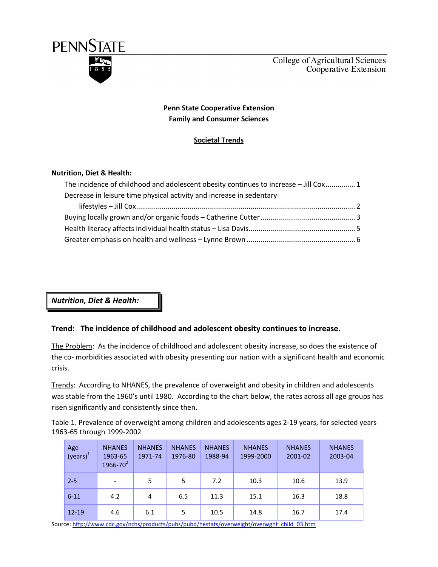

# Penn State Cooperative Extension Family and Consumer Sciences

# Societal Trends

### Nutrition, Diet & Health:

| The incidence of childhood and adolescent obesity continues to increase - Jill Cox 1 |  |
|--------------------------------------------------------------------------------------|--|
| Decrease in leisure time physical activity and increase in sedentary                 |  |
|                                                                                      |  |
|                                                                                      |  |
|                                                                                      |  |
|                                                                                      |  |

Nutrition, Diet & Health:

## Trend: The incidence of childhood and adolescent obesity continues to increase.

The Problem: As the incidence of childhood and adolescent obesity increase, so does the existence of the co- morbidities associated with obesity presenting our nation with a significant health and economic crisis.

Trends: According to NHANES, the prevalence of overweight and obesity in children and adolescents was stable from the 1960's until 1980. According to the chart below, the rates across all age groups has risen significantly and consistently since then.

Table 1. Prevalence of overweight among children and adolescents ages 2-19 years, for selected years 1963-65 through 1999-2002

| Age<br>(years) <sup>1</sup> | <b>NHANES</b><br>1963-65<br>$1966 - 70^{2}$ | <b>NHANES</b><br>1971-74 | <b>NHANES</b><br>1976-80 | <b>NHANES</b><br>1988-94 | <b>NHANES</b><br>1999-2000 | <b>NHANES</b><br>2001-02 | <b>NHANES</b><br>2003-04 |
|-----------------------------|---------------------------------------------|--------------------------|--------------------------|--------------------------|----------------------------|--------------------------|--------------------------|
| $2 - 5$                     | $\overline{\phantom{a}}$                    | 5                        | 5                        | 7.2                      | 10.3                       | 10.6                     | 13.9                     |
| $6 - 11$                    | 4.2                                         | 4                        | 6.5                      | 11.3                     | 15.1                       | 16.3                     | 18.8                     |
| $12 - 19$                   | 4.6                                         | 6.1                      | 5                        | 10.5                     | 14.8                       | 16.7                     | 17.4                     |

Source: http://www.cdc.gov/nchs/products/pubs/pubd/hestats/overweight/overwght\_child\_03.htm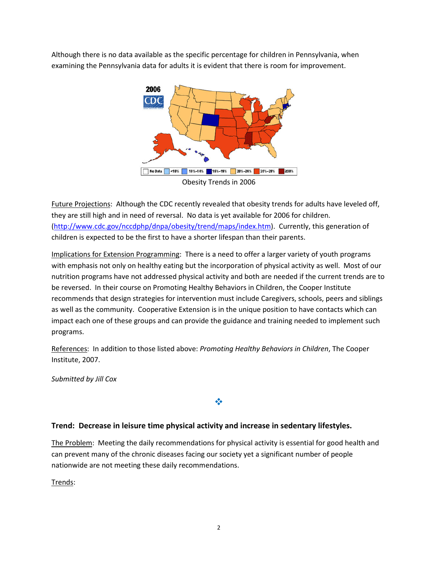Although there is no data available as the specific percentage for children in Pennsylvania, when examining the Pennsylvania data for adults it is evident that there is room for improvement.



Future Projections: Although the CDC recently revealed that obesity trends for adults have leveled off, they are still high and in need of reversal. No data is yet available for 2006 for children. (http://www.cdc.gov/nccdphp/dnpa/obesity/trend/maps/index.htm). Currently, this generation of children is expected to be the first to have a shorter lifespan than their parents.

Implications for Extension Programming: There is a need to offer a larger variety of youth programs with emphasis not only on healthy eating but the incorporation of physical activity as well. Most of our nutrition programs have not addressed physical activity and both are needed if the current trends are to be reversed. In their course on Promoting Healthy Behaviors in Children, the Cooper Institute recommends that design strategies for intervention must include Caregivers, schools, peers and siblings as well as the community. Cooperative Extension is in the unique position to have contacts which can impact each one of these groups and can provide the guidance and training needed to implement such programs.

References: In addition to those listed above: Promoting Healthy Behaviors in Children, The Cooper Institute, 2007.

Submitted by Jill Cox

# Trend: Decrease in leisure time physical activity and increase in sedentary lifestyles.

The Problem: Meeting the daily recommendations for physical activity is essential for good health and can prevent many of the chronic diseases facing our society yet a significant number of people nationwide are not meeting these daily recommendations.

豪

Trends: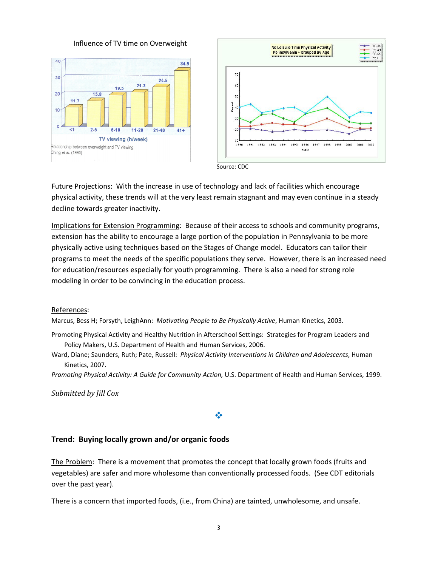Influence of TV time on Overweight





Future Projections: With the increase in use of technology and lack of facilities which encourage physical activity, these trends will at the very least remain stagnant and may even continue in a steady decline towards greater inactivity.

Implications for Extension Programming: Because of their access to schools and community programs, extension has the ability to encourage a large portion of the population in Pennsylvania to be more physically active using techniques based on the Stages of Change model. Educators can tailor their programs to meet the needs of the specific populations they serve. However, there is an increased need for education/resources especially for youth programming. There is also a need for strong role modeling in order to be convincing in the education process.

### References:

Marcus, Bess H; Forsyth, LeighAnn: Motivating People to Be Physically Active, Human Kinetics, 2003.

- Promoting Physical Activity and Healthy Nutrition in Afterschool Settings: Strategies for Program Leaders and Policy Makers, U.S. Department of Health and Human Services, 2006.
- Ward, Diane; Saunders, Ruth; Pate, Russell: Physical Activity Interventions in Children and Adolescents, Human Kinetics, 2007.

Promoting Physical Activity: A Guide for Community Action, U.S. Department of Health and Human Services, 1999.

Submitted by Jill Cox

### ❖

### Trend: Buying locally grown and/or organic foods

The Problem: There is a movement that promotes the concept that locally grown foods (fruits and vegetables) are safer and more wholesome than conventionally processed foods. (See CDT editorials over the past year).

There is a concern that imported foods, (i.e., from China) are tainted, unwholesome, and unsafe.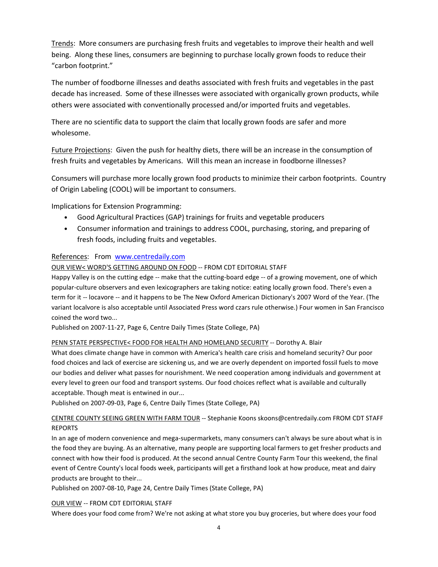Trends: More consumers are purchasing fresh fruits and vegetables to improve their health and well being. Along these lines, consumers are beginning to purchase locally grown foods to reduce their "carbon footprint."

The number of foodborne illnesses and deaths associated with fresh fruits and vegetables in the past decade has increased. Some of these illnesses were associated with organically grown products, while others were associated with conventionally processed and/or imported fruits and vegetables.

There are no scientific data to support the claim that locally grown foods are safer and more wholesome.

Future Projections: Given the push for healthy diets, there will be an increase in the consumption of fresh fruits and vegetables by Americans. Will this mean an increase in foodborne illnesses?

Consumers will purchase more locally grown food products to minimize their carbon footprints. Country of Origin Labeling (COOL) will be important to consumers.

Implications for Extension Programming:

- Good Agricultural Practices (GAP) trainings for fruits and vegetable producers
- Consumer information and trainings to address COOL, purchasing, storing, and preparing of fresh foods, including fruits and vegetables.

### References: From www.centredaily.com

### OUR VIEW< WORD'S GETTING AROUND ON FOOD -- FROM CDT EDITORIAL STAFF

Happy Valley is on the cutting edge -- make that the cutting-board edge -- of a growing movement, one of which popular-culture observers and even lexicographers are taking notice: eating locally grown food. There's even a term for it -- locavore -- and it happens to be The New Oxford American Dictionary's 2007 Word of the Year. (The variant localvore is also acceptable until Associated Press word czars rule otherwise.) Four women in San Francisco coined the word two...

Published on 2007-11-27, Page 6, Centre Daily Times (State College, PA)

### PENN STATE PERSPECTIVE< FOOD FOR HEALTH AND HOMELAND SECURITY -- Dorothy A. Blair

What does climate change have in common with America's health care crisis and homeland security? Our poor food choices and lack of exercise are sickening us, and we are overly dependent on imported fossil fuels to move our bodies and deliver what passes for nourishment. We need cooperation among individuals and government at every level to green our food and transport systems. Our food choices reflect what is available and culturally acceptable. Though meat is entwined in our...

Published on 2007-09-03, Page 6, Centre Daily Times (State College, PA)

### CENTRE COUNTY SEEING GREEN WITH FARM TOUR -- Stephanie Koons skoons@centredaily.com FROM CDT STAFF REPORTS

In an age of modern convenience and mega-supermarkets, many consumers can't always be sure about what is in the food they are buying. As an alternative, many people are supporting local farmers to get fresher products and connect with how their food is produced. At the second annual Centre County Farm Tour this weekend, the final event of Centre County's local foods week, participants will get a firsthand look at how produce, meat and dairy products are brought to their...

Published on 2007-08-10, Page 24, Centre Daily Times (State College, PA)

### OUR VIEW -- FROM CDT EDITORIAL STAFF

Where does your food come from? We're not asking at what store you buy groceries, but where does your food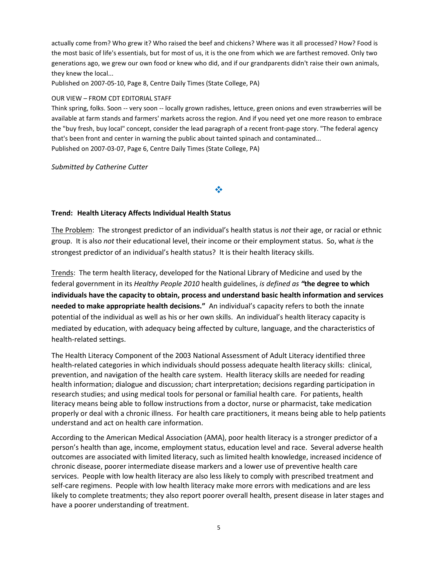actually come from? Who grew it? Who raised the beef and chickens? Where was it all processed? How? Food is the most basic of life's essentials, but for most of us, it is the one from which we are farthest removed. Only two generations ago, we grew our own food or knew who did, and if our grandparents didn't raise their own animals, they knew the local...

Published on 2007-05-10, Page 8, Centre Daily Times (State College, PA)

#### OUR VIEW – FROM CDT EDITORIAL STAFF

Think spring, folks. Soon -- very soon -- locally grown radishes, lettuce, green onions and even strawberries will be available at farm stands and farmers' markets across the region. And if you need yet one more reason to embrace the "buy fresh, buy local" concept, consider the lead paragraph of a recent front-page story. "The federal agency that's been front and center in warning the public about tainted spinach and contaminated... Published on 2007-03-07, Page 6, Centre Daily Times (State College, PA)

Submitted by Catherine Cutter

#### Trend: Health Literacy Affects Individual Health Status

The Problem: The strongest predictor of an individual's health status is not their age, or racial or ethnic group. It is also not their educational level, their income or their employment status. So, what is the strongest predictor of an individual's health status? It is their health literacy skills.

 $\frac{1}{2}$ 

Trends: The term health literacy, developed for the National Library of Medicine and used by the federal government in its Healthy People 2010 health guidelines, is defined as "the degree to which individuals have the capacity to obtain, process and understand basic health information and services needed to make appropriate health decisions." An individual's capacity refers to both the innate potential of the individual as well as his or her own skills. An individual's health literacy capacity is mediated by education, with adequacy being affected by culture, language, and the characteristics of health-related settings.

The Health Literacy Component of the 2003 National Assessment of Adult Literacy identified three health-related categories in which individuals should possess adequate health literacy skills: clinical, prevention, and navigation of the health care system. Health literacy skills are needed for reading health information; dialogue and discussion; chart interpretation; decisions regarding participation in research studies; and using medical tools for personal or familial health care. For patients, health literacy means being able to follow instructions from a doctor, nurse or pharmacist, take medication properly or deal with a chronic illness. For health care practitioners, it means being able to help patients understand and act on health care information.

According to the American Medical Association (AMA), poor health literacy is a stronger predictor of a person's health than age, income, employment status, education level and race. Several adverse health outcomes are associated with limited literacy, such as limited health knowledge, increased incidence of chronic disease, poorer intermediate disease markers and a lower use of preventive health care services. People with low health literacy are also less likely to comply with prescribed treatment and self-care regimens. People with low health literacy make more errors with medications and are less likely to complete treatments; they also report poorer overall health, present disease in later stages and have a poorer understanding of treatment.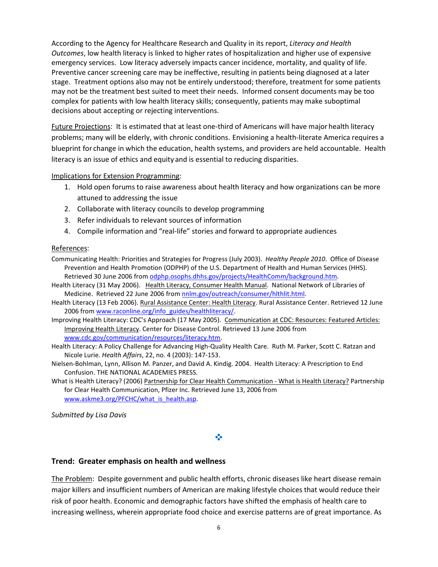According to the Agency for Healthcare Research and Quality in its report, Literacy and Health Outcomes, low health literacy is linked to higher rates of hospitalization and higher use of expensive emergency services. Low literacy adversely impacts cancer incidence, mortality, and quality of life. Preventive cancer screening care may be ineffective, resulting in patients being diagnosed at a later stage. Treatment options also may not be entirely understood; therefore, treatment for some patients may not be the treatment best suited to meet their needs. Informed consent documents may be too complex for patients with low health literacy skills; consequently, patients may make suboptimal decisions about accepting or rejecting interventions.

Future Projections: It is estimated that at least one-third of Americans will have major health literacy problems; many will be elderly, with chronic conditions. Envisioning a health-literate America requires a blueprint for change in which the education, health systems, and providers are held accountable. Health literacy is an issue of ethics and equity and is essential to reducing disparities.

### Implications for Extension Programming:

- 1. Hold open forums to raise awareness about health literacy and how organizations can be more attuned to addressing the issue
- 2. Collaborate with literacy councils to develop programming
- 3. Refer individuals to relevant sources of information
- 4. Compile information and "real-life" stories and forward to appropriate audiences

### References:

- Communicating Health: Priorities and Strategies for Progress (July 2003). Healthy People 2010. Office of Disease Prevention and Health Promotion (ODPHP) of the U.S. Department of Health and Human Services (HHS). Retrieved 30 June 2006 from odphp.osophs.dhhs.gov/projects/HealthComm/background.htm.
- Health Literacy (31 May 2006). Health Literacy, Consumer Health Manual. National Network of Libraries of Medicine. Retrieved 22 June 2006 from nnlm.gov/outreach/consumer/hlthlit.html.
- Health Literacy (13 Feb 2006). Rural Assistance Center: Health Literacy. Rural Assistance Center. Retrieved 12 June 2006 from www.raconline.org/info\_guides/healthliteracy/.
- Improving Health Literacy: CDC's Approach (17 May 2005). Communication at CDC: Resources: Featured Articles: Improving Health Literacy. Center for Disease Control. Retrieved 13 June 2006 from www.cdc.gov/communication/resources/literacy.htm.
- Health Literacy: A Policy Challenge for Advancing High-Quality Health Care. Ruth M. Parker, Scott C. Ratzan and Nicole Lurie. Health Affairs, 22, no. 4 (2003): 147-153.
- Nielsen-Bohlman, Lynn, Allison M. Panzer, and David A. Kindig. 2004. Health Literacy: A Prescription to End Confusion. THE NATIONAL ACADEMIES PRESS.
- What is Health Literacy? (2006) Partnership for Clear Health Communication What is Health Literacy? Partnership for Clear Health Communication, Pfizer Inc. Retrieved June 13, 2006 from www.askme3.org/PFCHC/what\_is\_health.asp.

Submitted by Lisa Davis

### 豪

### Trend: Greater emphasis on health and wellness

The Problem: Despite government and public health efforts, chronic diseases like heart disease remain major killers and insufficient numbers of American are making lifestyle choices that would reduce their risk of poor health. Economic and demographic factors have shifted the emphasis of health care to increasing wellness, wherein appropriate food choice and exercise patterns are of great importance. As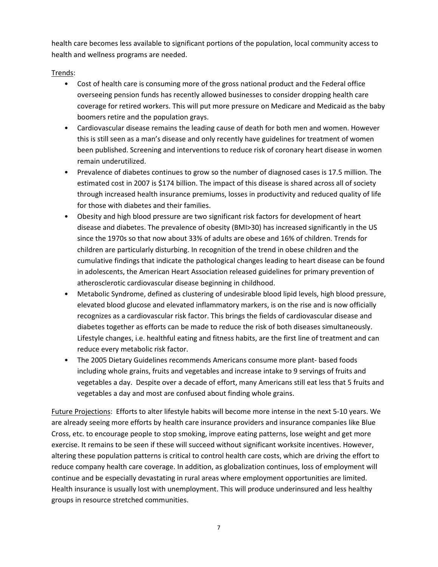health care becomes less available to significant portions of the population, local community access to health and wellness programs are needed.

# Trends:

- Cost of health care is consuming more of the gross national product and the Federal office overseeing pension funds has recently allowed businesses to consider dropping health care coverage for retired workers. This will put more pressure on Medicare and Medicaid as the baby boomers retire and the population grays.
- Cardiovascular disease remains the leading cause of death for both men and women. However this is still seen as a man's disease and only recently have guidelines for treatment of women been published. Screening and interventions to reduce risk of coronary heart disease in women remain underutilized.
- Prevalence of diabetes continues to grow so the number of diagnosed cases is 17.5 million. The estimated cost in 2007 is \$174 billion. The impact of this disease is shared across all of society through increased health insurance premiums, losses in productivity and reduced quality of life for those with diabetes and their families.
- Obesity and high blood pressure are two significant risk factors for development of heart disease and diabetes. The prevalence of obesity (BMI>30) has increased significantly in the US since the 1970s so that now about 33% of adults are obese and 16% of children. Trends for children are particularly disturbing. In recognition of the trend in obese children and the cumulative findings that indicate the pathological changes leading to heart disease can be found in adolescents, the American Heart Association released guidelines for primary prevention of atherosclerotic cardiovascular disease beginning in childhood.
- Metabolic Syndrome, defined as clustering of undesirable blood lipid levels, high blood pressure, elevated blood glucose and elevated inflammatory markers, is on the rise and is now officially recognizes as a cardiovascular risk factor. This brings the fields of cardiovascular disease and diabetes together as efforts can be made to reduce the risk of both diseases simultaneously. Lifestyle changes, i.e. healthful eating and fitness habits, are the first line of treatment and can reduce every metabolic risk factor.
- The 2005 Dietary Guidelines recommends Americans consume more plant- based foods including whole grains, fruits and vegetables and increase intake to 9 servings of fruits and vegetables a day. Despite over a decade of effort, many Americans still eat less that 5 fruits and vegetables a day and most are confused about finding whole grains.

Future Projections: Efforts to alter lifestyle habits will become more intense in the next 5-10 years. We are already seeing more efforts by health care insurance providers and insurance companies like Blue Cross, etc. to encourage people to stop smoking, improve eating patterns, lose weight and get more exercise. It remains to be seen if these will succeed without significant worksite incentives. However, altering these population patterns is critical to control health care costs, which are driving the effort to reduce company health care coverage. In addition, as globalization continues, loss of employment will continue and be especially devastating in rural areas where employment opportunities are limited. Health insurance is usually lost with unemployment. This will produce underinsured and less healthy groups in resource stretched communities.